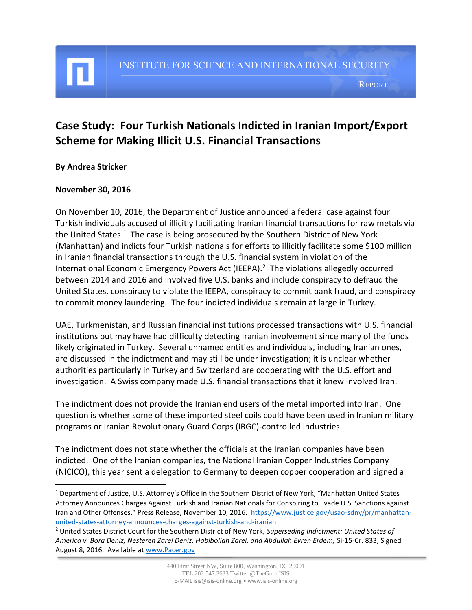REPORT

# **Case Study: Four Turkish Nationals Indicted in Iranian Import/Export Scheme for Making Illicit U.S. Financial Transactions**

### **By Andrea Stricker**

 $\overline{\phantom{a}}$ 

#### **November 30, 2016**

On November 10, 2016, the Department of Justice announced a federal case against four Turkish individuals accused of illicitly facilitating Iranian financial transactions for raw metals via the United States.<sup>1</sup> The case is being prosecuted by the Southern District of New York (Manhattan) and indicts four Turkish nationals for efforts to illicitly facilitate some \$100 million in Iranian financial transactions through the U.S. financial system in violation of the International Economic Emergency Powers Act (IEEPA). $^2$  The violations allegedly occurred between 2014 and 2016 and involved five U.S. banks and include conspiracy to defraud the United States, conspiracy to violate the IEEPA, conspiracy to commit bank fraud, and conspiracy to commit money laundering. The four indicted individuals remain at large in Turkey.

UAE, Turkmenistan, and Russian financial institutions processed transactions with U.S. financial institutions but may have had difficulty detecting Iranian involvement since many of the funds likely originated in Turkey. Several unnamed entities and individuals, including Iranian ones, are discussed in the indictment and may still be under investigation; it is unclear whether authorities particularly in Turkey and Switzerland are cooperating with the U.S. effort and investigation. A Swiss company made U.S. financial transactions that it knew involved Iran.

The indictment does not provide the Iranian end users of the metal imported into Iran. One question is whether some of these imported steel coils could have been used in Iranian military programs or Iranian Revolutionary Guard Corps (IRGC)-controlled industries.

The indictment does not state whether the officials at the Iranian companies have been indicted. One of the Iranian companies, the National Iranian Copper Industries Company (NICICO), this year sent a delegation to Germany to deepen copper cooperation and signed a

<sup>1</sup> Department of Justice, U.S. Attorney's Office in the Southern District of New York, "Manhattan United States Attorney Announces Charges Against Turkish and Iranian Nationals for Conspiring to Evade U.S. Sanctions against Iran and Other Offenses," Press Release, November 10, 2016. [https://www.justice.gov/usao-sdny/pr/manhattan](https://www.justice.gov/usao-sdny/pr/manhattan-united-states-attorney-announces-charges-against-turkish-and-iranian)[united-states-attorney-announces-charges-against-turkish-and-iranian](https://www.justice.gov/usao-sdny/pr/manhattan-united-states-attorney-announces-charges-against-turkish-and-iranian)

<sup>2</sup> United States District Court for the Southern District of New York, *Superseding Indictment: United States of America v. Bora Deniz, Nesteren Zarei Deniz, Habibollah Zarei, and Abdullah Evren Erdem,* Si-15-Cr. 833, Signed August 8, 2016, Available at [www.Pacer.gov](http://www.pacer.gov/)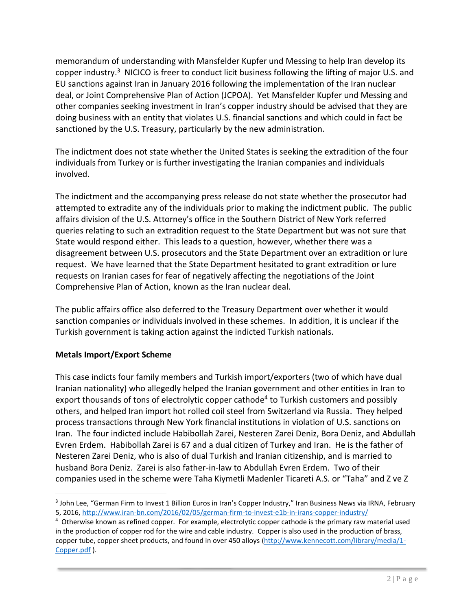memorandum of understanding with Mansfelder Kupfer und Messing to help Iran develop its copper industry.<sup>3</sup> NICICO is freer to conduct licit business following the lifting of major U.S. and EU sanctions against Iran in January 2016 following the implementation of the Iran nuclear deal, or Joint Comprehensive Plan of Action (JCPOA). Yet Mansfelder Kupfer und Messing and other companies seeking investment in Iran's copper industry should be advised that they are doing business with an entity that violates U.S. financial sanctions and which could in fact be sanctioned by the U.S. Treasury, particularly by the new administration.

The indictment does not state whether the United States is seeking the extradition of the four individuals from Turkey or is further investigating the Iranian companies and individuals involved.

The indictment and the accompanying press release do not state whether the prosecutor had attempted to extradite any of the individuals prior to making the indictment public. The public affairs division of the U.S. Attorney's office in the Southern District of New York referred queries relating to such an extradition request to the State Department but was not sure that State would respond either. This leads to a question, however, whether there was a disagreement between U.S. prosecutors and the State Department over an extradition or lure request. We have learned that the State Department hesitated to grant extradition or lure requests on Iranian cases for fear of negatively affecting the negotiations of the Joint Comprehensive Plan of Action, known as the Iran nuclear deal.

The public affairs office also deferred to the Treasury Department over whether it would sanction companies or individuals involved in these schemes. In addition, it is unclear if the Turkish government is taking action against the indicted Turkish nationals.

## **Metals Import/Export Scheme**

This case indicts four family members and Turkish import/exporters (two of which have dual Iranian nationality) who allegedly helped the Iranian government and other entities in Iran to export thousands of tons of electrolytic copper cathode<sup>4</sup> to Turkish customers and possibly others, and helped Iran import hot rolled coil steel from Switzerland via Russia. They helped process transactions through New York financial institutions in violation of U.S. sanctions on Iran. The four indicted include Habibollah Zarei, Nesteren Zarei Deniz, Bora Deniz, and Abdullah Evren Erdem. Habibollah Zarei is 67 and a dual citizen of Turkey and Iran. He is the father of Nesteren Zarei Deniz, who is also of dual Turkish and Iranian citizenship, and is married to husband Bora Deniz. Zarei is also father-in-law to Abdullah Evren Erdem. Two of their companies used in the scheme were Taha Kiymetli Madenler Ticareti A.S. or "Taha" and Z ve Z

 $\overline{a}$ 3 John Lee, "German Firm to Invest 1 Billion Euros in Iran's Copper Industry," Iran Business News via IRNA, February 5, 2016,<http://www.iran-bn.com/2016/02/05/german-firm-to-invest-e1b-in-irans-copper-industry/>

<sup>4</sup> Otherwise known as refined copper. For example, electrolytic copper cathode is the primary raw material used in the production of copper rod for the wire and cable industry. Copper is also used in the production of brass, copper tube, copper sheet products, and found in over 450 alloys [\(http://www.kennecott.com/library/media/1-](http://www.kennecott.com/library/media/1-Copper.pdf) [Copper.pdf](http://www.kennecott.com/library/media/1-Copper.pdf) ).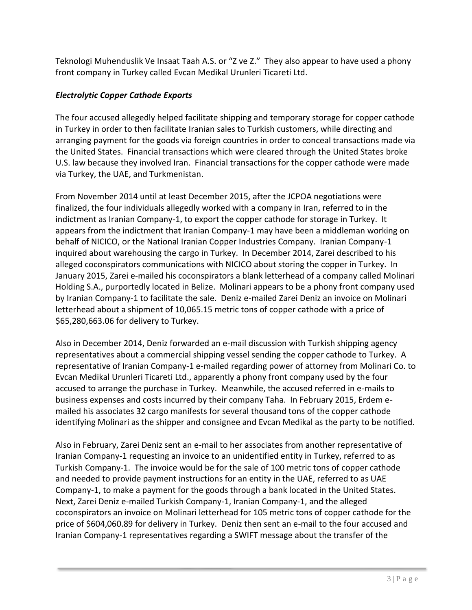Teknologi Muhenduslik Ve Insaat Taah A.S. or "Z ve Z." They also appear to have used a phony front company in Turkey called Evcan Medikal Urunleri Ticareti Ltd.

## *Electrolytic Copper Cathode Exports*

The four accused allegedly helped facilitate shipping and temporary storage for copper cathode in Turkey in order to then facilitate Iranian sales to Turkish customers, while directing and arranging payment for the goods via foreign countries in order to conceal transactions made via the United States. Financial transactions which were cleared through the United States broke U.S. law because they involved Iran. Financial transactions for the copper cathode were made via Turkey, the UAE, and Turkmenistan.

From November 2014 until at least December 2015, after the JCPOA negotiations were finalized, the four individuals allegedly worked with a company in Iran, referred to in the indictment as Iranian Company-1, to export the copper cathode for storage in Turkey. It appears from the indictment that Iranian Company-1 may have been a middleman working on behalf of NICICO, or the National Iranian Copper Industries Company. Iranian Company-1 inquired about warehousing the cargo in Turkey. In December 2014, Zarei described to his alleged coconspirators communications with NICICO about storing the copper in Turkey. In January 2015, Zarei e-mailed his coconspirators a blank letterhead of a company called Molinari Holding S.A., purportedly located in Belize. Molinari appears to be a phony front company used by Iranian Company-1 to facilitate the sale. Deniz e-mailed Zarei Deniz an invoice on Molinari letterhead about a shipment of 10,065.15 metric tons of copper cathode with a price of \$65,280,663.06 for delivery to Turkey.

Also in December 2014, Deniz forwarded an e-mail discussion with Turkish shipping agency representatives about a commercial shipping vessel sending the copper cathode to Turkey. A representative of Iranian Company-1 e-mailed regarding power of attorney from Molinari Co. to Evcan Medikal Urunleri Ticareti Ltd., apparently a phony front company used by the four accused to arrange the purchase in Turkey. Meanwhile, the accused referred in e-mails to business expenses and costs incurred by their company Taha. In February 2015, Erdem emailed his associates 32 cargo manifests for several thousand tons of the copper cathode identifying Molinari as the shipper and consignee and Evcan Medikal as the party to be notified.

Also in February, Zarei Deniz sent an e-mail to her associates from another representative of Iranian Company-1 requesting an invoice to an unidentified entity in Turkey, referred to as Turkish Company-1. The invoice would be for the sale of 100 metric tons of copper cathode and needed to provide payment instructions for an entity in the UAE, referred to as UAE Company-1, to make a payment for the goods through a bank located in the United States. Next, Zarei Deniz e-mailed Turkish Company-1, Iranian Company-1, and the alleged coconspirators an invoice on Molinari letterhead for 105 metric tons of copper cathode for the price of \$604,060.89 for delivery in Turkey. Deniz then sent an e-mail to the four accused and Iranian Company-1 representatives regarding a SWIFT message about the transfer of the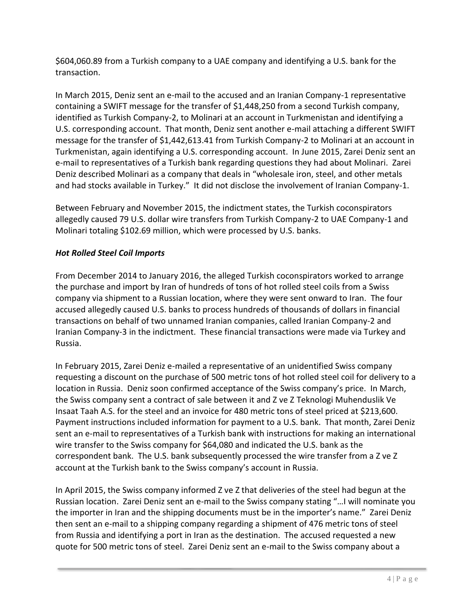\$604,060.89 from a Turkish company to a UAE company and identifying a U.S. bank for the transaction.

In March 2015, Deniz sent an e-mail to the accused and an Iranian Company-1 representative containing a SWIFT message for the transfer of \$1,448,250 from a second Turkish company, identified as Turkish Company-2, to Molinari at an account in Turkmenistan and identifying a U.S. corresponding account. That month, Deniz sent another e-mail attaching a different SWIFT message for the transfer of \$1,442,613.41 from Turkish Company-2 to Molinari at an account in Turkmenistan, again identifying a U.S. corresponding account. In June 2015, Zarei Deniz sent an e-mail to representatives of a Turkish bank regarding questions they had about Molinari. Zarei Deniz described Molinari as a company that deals in "wholesale iron, steel, and other metals and had stocks available in Turkey." It did not disclose the involvement of Iranian Company-1.

Between February and November 2015, the indictment states, the Turkish coconspirators allegedly caused 79 U.S. dollar wire transfers from Turkish Company-2 to UAE Company-1 and Molinari totaling \$102.69 million, which were processed by U.S. banks.

## *Hot Rolled Steel Coil Imports*

From December 2014 to January 2016, the alleged Turkish coconspirators worked to arrange the purchase and import by Iran of hundreds of tons of hot rolled steel coils from a Swiss company via shipment to a Russian location, where they were sent onward to Iran. The four accused allegedly caused U.S. banks to process hundreds of thousands of dollars in financial transactions on behalf of two unnamed Iranian companies, called Iranian Company-2 and Iranian Company-3 in the indictment. These financial transactions were made via Turkey and Russia.

In February 2015, Zarei Deniz e-mailed a representative of an unidentified Swiss company requesting a discount on the purchase of 500 metric tons of hot rolled steel coil for delivery to a location in Russia. Deniz soon confirmed acceptance of the Swiss company's price. In March, the Swiss company sent a contract of sale between it and Z ve Z Teknologi Muhenduslik Ve Insaat Taah A.S. for the steel and an invoice for 480 metric tons of steel priced at \$213,600. Payment instructions included information for payment to a U.S. bank. That month, Zarei Deniz sent an e-mail to representatives of a Turkish bank with instructions for making an international wire transfer to the Swiss company for \$64,080 and indicated the U.S. bank as the correspondent bank. The U.S. bank subsequently processed the wire transfer from a Z ve Z account at the Turkish bank to the Swiss company's account in Russia.

In April 2015, the Swiss company informed Z ve Z that deliveries of the steel had begun at the Russian location. Zarei Deniz sent an e-mail to the Swiss company stating "…I will nominate you the importer in Iran and the shipping documents must be in the importer's name." Zarei Deniz then sent an e-mail to a shipping company regarding a shipment of 476 metric tons of steel from Russia and identifying a port in Iran as the destination. The accused requested a new quote for 500 metric tons of steel. Zarei Deniz sent an e-mail to the Swiss company about a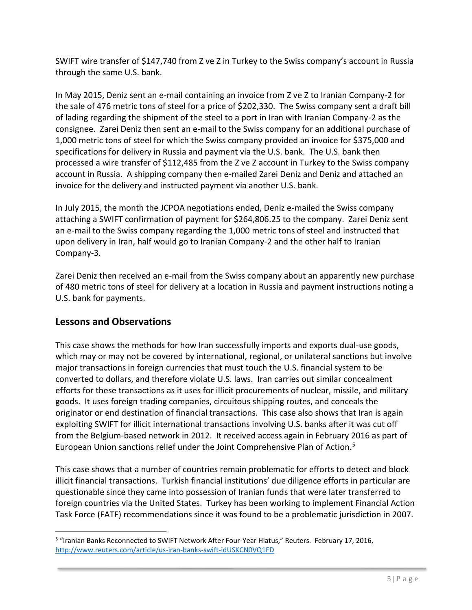SWIFT wire transfer of \$147,740 from Z ve Z in Turkey to the Swiss company's account in Russia through the same U.S. bank.

In May 2015, Deniz sent an e-mail containing an invoice from Z ve Z to Iranian Company-2 for the sale of 476 metric tons of steel for a price of \$202,330. The Swiss company sent a draft bill of lading regarding the shipment of the steel to a port in Iran with Iranian Company-2 as the consignee. Zarei Deniz then sent an e-mail to the Swiss company for an additional purchase of 1,000 metric tons of steel for which the Swiss company provided an invoice for \$375,000 and specifications for delivery in Russia and payment via the U.S. bank. The U.S. bank then processed a wire transfer of \$112,485 from the Z ve Z account in Turkey to the Swiss company account in Russia. A shipping company then e-mailed Zarei Deniz and Deniz and attached an invoice for the delivery and instructed payment via another U.S. bank.

In July 2015, the month the JCPOA negotiations ended, Deniz e-mailed the Swiss company attaching a SWIFT confirmation of payment for \$264,806.25 to the company. Zarei Deniz sent an e-mail to the Swiss company regarding the 1,000 metric tons of steel and instructed that upon delivery in Iran, half would go to Iranian Company-2 and the other half to Iranian Company-3.

Zarei Deniz then received an e-mail from the Swiss company about an apparently new purchase of 480 metric tons of steel for delivery at a location in Russia and payment instructions noting a U.S. bank for payments.

# **Lessons and Observations**

This case shows the methods for how Iran successfully imports and exports dual-use goods, which may or may not be covered by international, regional, or unilateral sanctions but involve major transactions in foreign currencies that must touch the U.S. financial system to be converted to dollars, and therefore violate U.S. laws. Iran carries out similar concealment efforts for these transactions as it uses for illicit procurements of nuclear, missile, and military goods. It uses foreign trading companies, circuitous shipping routes, and conceals the originator or end destination of financial transactions. This case also shows that Iran is again exploiting SWIFT for illicit international transactions involving U.S. banks after it was cut off from the Belgium-based network in 2012. It received access again in February 2016 as part of European Union sanctions relief under the Joint Comprehensive Plan of Action.<sup>5</sup>

This case shows that a number of countries remain problematic for efforts to detect and block illicit financial transactions. Turkish financial institutions' due diligence efforts in particular are questionable since they came into possession of Iranian funds that were later transferred to foreign countries via the United States. Turkey has been working to implement Financial Action Task Force (FATF) recommendations since it was found to be a problematic jurisdiction in 2007.

l <sup>5</sup> "Iranian Banks Reconnected to SWIFT Network After Four-Year Hiatus," Reuters. February 17, 2016, <http://www.reuters.com/article/us-iran-banks-swift-idUSKCN0VQ1FD>